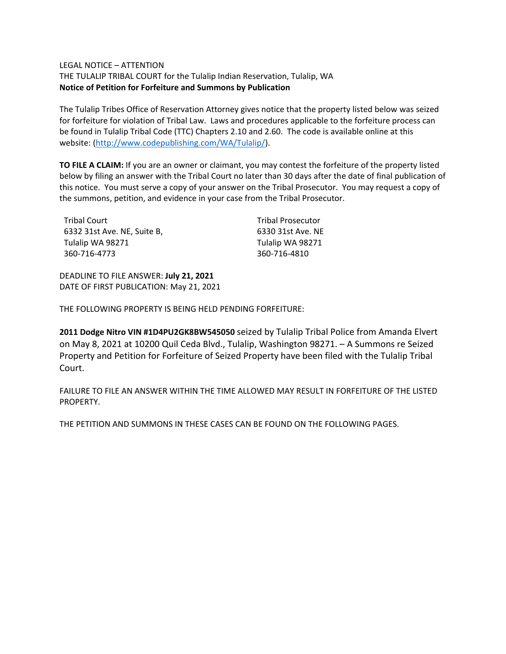#### LEGAL NOTICE – ATTENTION

THE TULALIP TRIBAL COURT for the Tulalip Indian Reservation, Tulalip, WA **Notice of Petition for Forfeiture and Summons by Publication**

The Tulalip Tribes Office of Reservation Attorney gives notice that the property listed below was seized for forfeiture for violation of Tribal Law. Laws and procedures applicable to the forfeiture process can be found in Tulalip Tribal Code (TTC) Chapters 2.10 and 2.60. The code is available online at this website: [\(http://www.codepublishing.com/WA/Tulalip/\)](http://www.codepublishing.com/WA/Tulalip/).

**TO FILE A CLAIM:** If you are an owner or claimant, you may contest the forfeiture of the property listed below by filing an answer with the Tribal Court no later than 30 days after the date of final publication of this notice. You must serve a copy of your answer on the Tribal Prosecutor. You may request a copy of the summons, petition, and evidence in your case from the Tribal Prosecutor.

| Tribal Court                | <b>Tribal Prosecutor</b> |
|-----------------------------|--------------------------|
| 6332 31st Ave. NE, Suite B, | 6330 31st Ave. NE        |
| Tulalip WA 98271            | Tulalip WA 98271         |
| 360-716-4773                | 360-716-4810             |

DEADLINE TO FILE ANSWER: **July 21, 2021** DATE OF FIRST PUBLICATION: May 21, 2021

THE FOLLOWING PROPERTY IS BEING HELD PENDING FORFEITURE:

**2011 Dodge Nitro VIN #1D4PU2GK8BW545050** seized by Tulalip Tribal Police from Amanda Elvert on May 8, 2021 at 10200 Quil Ceda Blvd., Tulalip, Washington 98271. – A Summons re Seized Property and Petition for Forfeiture of Seized Property have been filed with the Tulalip Tribal Court.

FAILURE TO FILE AN ANSWER WITHIN THE TIME ALLOWED MAY RESULT IN FORFEITURE OF THE LISTED PROPERTY.

THE PETITION AND SUMMONS IN THESE CASES CAN BE FOUND ON THE FOLLOWING PAGES.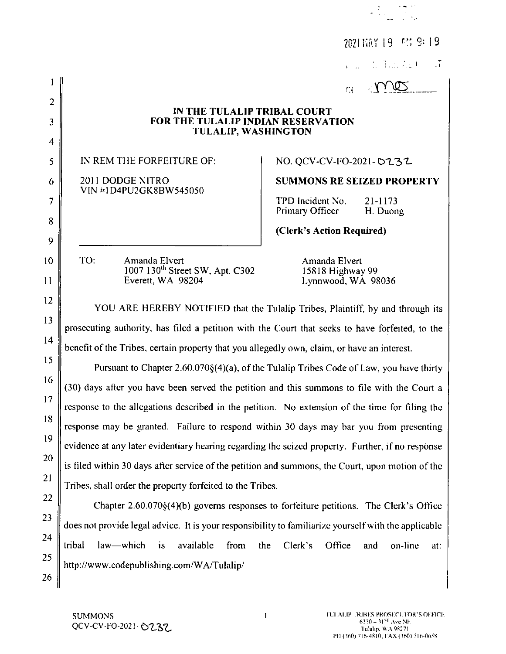|                         |                                                                                                      | 2021 NAY 19 AM 9:19                                                                      |  |
|-------------------------|------------------------------------------------------------------------------------------------------|------------------------------------------------------------------------------------------|--|
|                         |                                                                                                      | <b>Participate</b>                                                                       |  |
|                         |                                                                                                      | mo<br>$\Omega^{(1)}$                                                                     |  |
| $\overline{2}$          | IN THE TULALIP TRIBAL COURT                                                                          |                                                                                          |  |
| 3                       | FOR THE TULALIP INDIAN RESERVATION<br><b>TULALIP, WASHINGTON</b>                                     |                                                                                          |  |
| $\overline{\mathbf{4}}$ |                                                                                                      |                                                                                          |  |
| 5                       | IN REM THE FORFEITURE OF:                                                                            | NO. QCV-CV-FO-2021-0232                                                                  |  |
| 6                       | 2011 DODGE NITRO<br>VIN #1D4PU2GK8BW545050                                                           | <b>SUMMONS RE SEIZED PROPERTY</b>                                                        |  |
| $\tau$                  |                                                                                                      | TPD Incident No.<br>21-1173<br>Primary Officer<br>H. Duong                               |  |
| 8                       |                                                                                                      | (Clerk's Action Required)                                                                |  |
| 9                       |                                                                                                      |                                                                                          |  |
| 10 <sup>°</sup>         | TO:<br>Amanda Elvert<br>1007 130 <sup>th</sup> Street SW, Apt. C302                                  | Amanda Elvert<br>15818 Highway 99                                                        |  |
| 11                      | Everett, WA 98204                                                                                    | Lynnwood, WA 98036                                                                       |  |
| 12                      | YOU ARE HEREBY NOTIFIED that the Tulalip Tribes, Plaintiff, by and through its                       |                                                                                          |  |
| 13                      | prosecuting authority, has filed a petition with the Court that seeks to have forfeited, to the      |                                                                                          |  |
| 14                      | benefit of the Tribes, certain property that you allegedly own, claim, or have an interest.          |                                                                                          |  |
| 15                      | Pursuant to Chapter 2.60.070§(4)(a), of the Tulalip Tribes Code of Law, you have thirty              |                                                                                          |  |
| 16                      | (30) days after you have been served the petition and this summons to file with the Court a          |                                                                                          |  |
| 17                      | response to the allegations described in the petition. No extension of the time for filing the       |                                                                                          |  |
| 18                      | response may be granted. Failure to respond within 30 days may bar you from presenting               |                                                                                          |  |
| 19                      | evidence at any later evidentiary hearing regarding the seized property. Further, if no response     |                                                                                          |  |
| 20                      | is filed within 30 days after service of the petition and summons, the Court, upon motion of the     |                                                                                          |  |
| 21                      | Tribes, shall order the property forfeited to the Tribes.                                            |                                                                                          |  |
| 22                      |                                                                                                      | Chapter $2.60.070\$ (4)(b) governs responses to forfeiture petitions. The Clerk's Office |  |
| 23                      | does not provide legal advice. It is your responsibility to familiarize yourself with the applicable |                                                                                          |  |
| 24                      | tribal<br>law—which<br>available<br>is<br>from                                                       | the<br>Clerk's<br>Office<br>on-line<br>and                                               |  |
| 25                      | http://www.codepublishing.com/WA/Tulalip/                                                            | at:                                                                                      |  |
| 26                      |                                                                                                      |                                                                                          |  |
|                         |                                                                                                      |                                                                                          |  |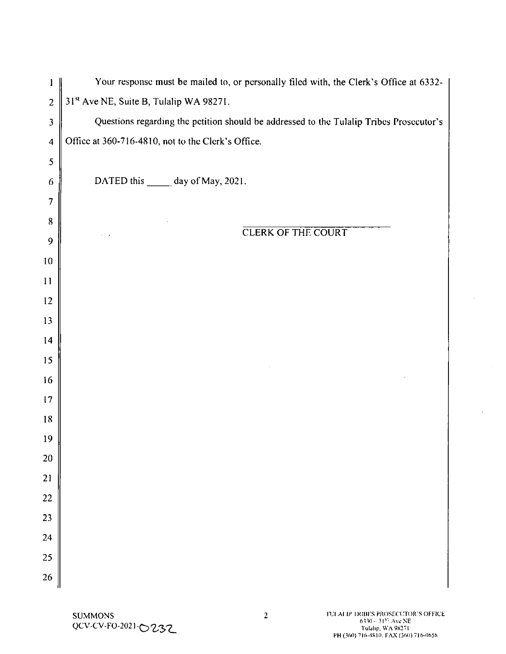|                         | Your response must be mailed to, or personally filed with, the Clerk's Office at 6332-  |
|-------------------------|-----------------------------------------------------------------------------------------|
| $\overline{2}$          | 31st Ave NE, Suite B, Tulalip WA 98271.                                                 |
| $\overline{\mathbf{3}}$ | Questions regarding the petition should be addressed to the Tulalip Tribes Prosecutor's |
| $\overline{\mathbf{4}}$ | Office at 360-716-4810, not to the Clerk's Office.                                      |
| 5                       |                                                                                         |
| 6                       | DATED this _______ day of May, 2021.                                                    |
| $\overline{7}$          |                                                                                         |
| $8\,$                   |                                                                                         |
| 9                       | <b>CLERK OF THE COURT</b>                                                               |
| 10                      |                                                                                         |
| 11                      |                                                                                         |
| 12                      |                                                                                         |
| 13                      |                                                                                         |
| 14                      |                                                                                         |
| 15                      |                                                                                         |
| 16                      |                                                                                         |
| 17                      |                                                                                         |
| 18                      |                                                                                         |
| 19                      |                                                                                         |
| <b>20</b>               |                                                                                         |
| <b>21</b>               |                                                                                         |
| 22                      |                                                                                         |
| 23                      |                                                                                         |
| 24                      |                                                                                         |
| 25                      |                                                                                         |
| 26                      |                                                                                         |

L.

 $\bar{z}$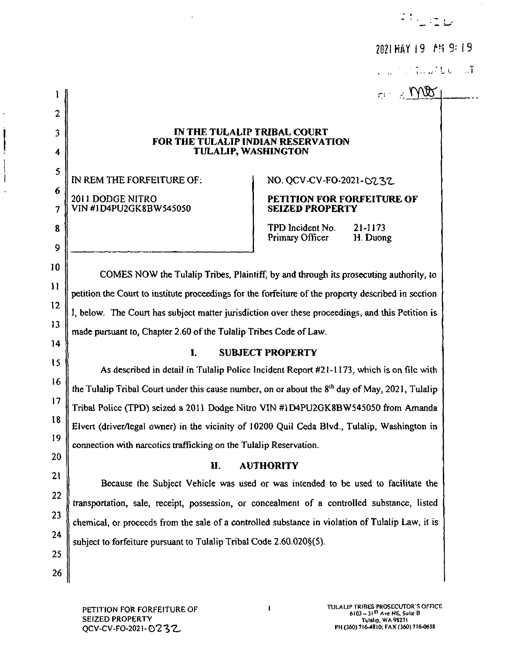ر<br>منابع السابقية

2021 HAY 19 FM 9:19

**Contractor** of

 $m \times 100$ 

### [N THE TULALIP TRIBAL COURT FOR THE TULALIP INDIAN RESERVATION TULALIP, WASHINGTON

IN REM THE FORFEITURE OF: NO. QCV-CV-FO-2021- 02.32

# 2011 DODGE NITRO PETITION FOR FORFEITURE OF VIN #1D4PU2GK8BWS45050 SEIZED PROPERTY

TPD Incident No. 21-1173<br>Primary Officer H. Duong Primary Officer

COMES NOW the Tulalip Tribes, Plaintiff, by and through its prosecuting authority, to petition the Court to institute proceedings for the forfeiture of the property described in section 1, below. The Court has subject matter jurisdiction over these proceedings, and this Petition is made pursuant to, Chapter 2.60 of the Tulaiip Tribes Code of Law.

15

10

 $\mathbf{1}$ 

 $\overline{2}$ 

 $\overline{\mathbf{3}}$ 

4

5

 $\boldsymbol{6}$ 

 $\overline{7}$ 

8

 $\boldsymbol{Q}$ 

11

12

13

14

16

17

18

19

20

21

22

23

24

25f

26

## I. SUBJECT PROPERTY

As described in detail in Tulalip Police Incident Report #21-1173, which is on file with the Tulalip Tribal Court under this cause number, on or about the  $8<sup>th</sup>$  day of May, 2021, Tulalip Tribal Police (TPD) seized <sup>2011</sup> Dodge Nitro VIN #1D4PU2GK88W545050 frorn Amanda Elvert (driver/legal owner) in the vicinity of 10200 Quil Ceda Blvd., Tulalip, Washington in  $\int$ connection with narcotics trafficking on the Tulalip Reservation.

## l1. AUTHORITY

Because the Subject Vehicle was used or was intended to be used to facilitate the transportation, sale, receipt, possession, or concealment of a controlled substance, listed chemical, or proceeds from the sale of a controlled substance in violation of Tulalip Law, it is  $\vert$ subject to forfeiture pursuant to Tulalip Tribal Code 2.60.020§(5),